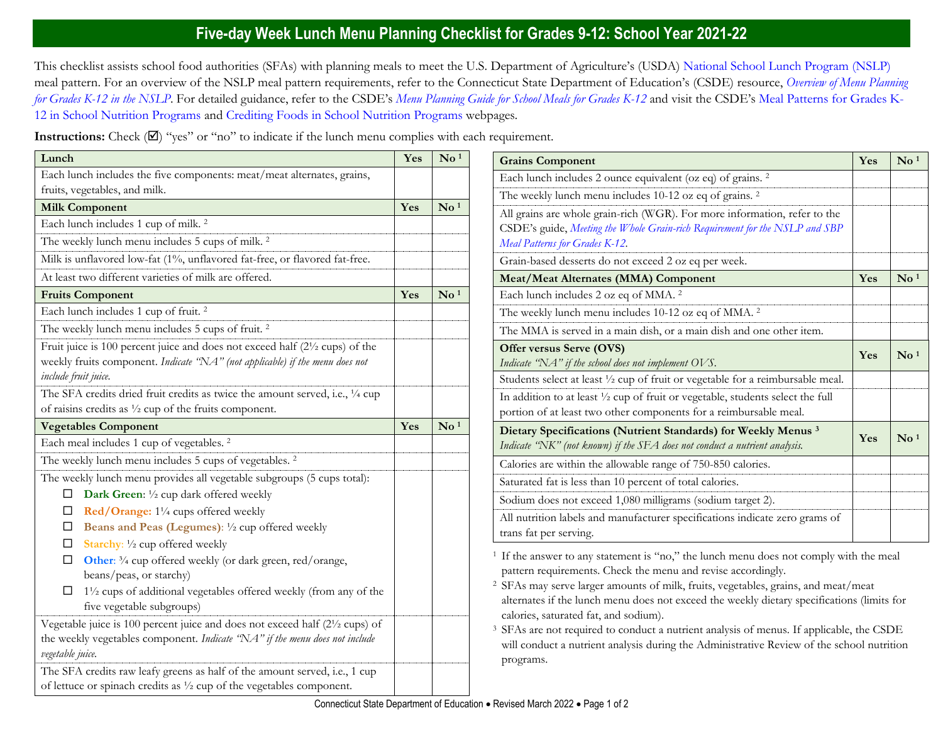## **Five-day Week Lunch Menu Planning Checklist for Grades 9-12: School Year 2021-22**

This checklist assists school food authorities (SFAs) with planning meals to meet the U.S. Department of Agriculture's (USDA) [National School Lunch Program \(NSLP\)](https://portal.ct.gov/SDE/Nutrition/National-School-Lunch-Program) meal pattern. For an overview of the NSLP meal pattern requirements, refer to the Connecticut State Department of Education's (CSDE) resource, *[Overview of Menu Planning](https://portal.ct.gov/-/media/SDE/Nutrition/NSLP/MealPattern/Overview_Menu_Planning_NSLP_grades_K-12.pdf)  [for Grades K-12 in the NSLP](https://portal.ct.gov/-/media/SDE/Nutrition/NSLP/MealPattern/Overview_Menu_Planning_NSLP_grades_K-12.pdf)*. For detailed guidance, refer to the CSDE's *[Menu Planning Guide for School Meals for Grades K-12](https://portal.ct.gov/SDE/Nutrition/Menu-Planning-Guide-for-School-Meals)* and visit the CSDE's [Meal Patterns for Grades K-](https://portal.ct.gov/SDE/Nutrition/Meal-Patterns-School-Nutrition-Programs)[12 in School Nutrition Programs](https://portal.ct.gov/SDE/Nutrition/Meal-Patterns-School-Nutrition-Programs) and [Crediting Foods in School Nutrition Programs](https://portal.ct.gov/SDE/Nutrition/Crediting-Foods-in-School-Nutrition-Programs) webpages*.*

**Instructions:** Check  $(\mathbb{Z})$  "yes" or "no" to indicate if the lunch menu complies with each requirement.

| Lunch                                                                                                 | Yes | $\bf{No}$ $^1$                      | <b>Grains Component</b>                                                                                                                                           | Yes | $\mathbf{N}\mathbf{o}$ <sup>1</sup> |
|-------------------------------------------------------------------------------------------------------|-----|-------------------------------------|-------------------------------------------------------------------------------------------------------------------------------------------------------------------|-----|-------------------------------------|
| Each lunch includes the five components: meat/meat alternates, grains,                                |     |                                     | Each lunch includes 2 ounce equivalent (oz eq) of grains. <sup>2</sup>                                                                                            |     |                                     |
| fruits, vegetables, and milk.                                                                         |     |                                     | The weekly lunch menu includes 10-12 oz eq of grains. <sup>2</sup>                                                                                                |     |                                     |
| <b>Milk Component</b>                                                                                 | Yes | $\mathbf{N}\mathbf{o}$ <sup>1</sup> | All grains are whole grain-rich (WGR). For more information, refer to the                                                                                         |     |                                     |
| Each lunch includes 1 cup of milk. <sup>2</sup>                                                       |     |                                     | CSDE's guide, Meeting the Whole Grain-rich Requirement for the NSLP and SBP                                                                                       |     |                                     |
| The weekly lunch menu includes 5 cups of milk. <sup>2</sup>                                           |     |                                     | Meal Patterns for Grades K-12.                                                                                                                                    |     |                                     |
| Milk is unflavored low-fat (1%, unflavored fat-free, or flavored fat-free.                            |     |                                     | Grain-based desserts do not exceed 2 oz eq per week.                                                                                                              |     |                                     |
| At least two different varieties of milk are offered.                                                 |     |                                     | <b>Meat/Meat Alternates (MMA) Component</b>                                                                                                                       | Yes | $\mathbf{N}\mathbf{o}$ <sup>1</sup> |
| <b>Fruits Component</b>                                                                               | Yes | $\mathbf{N}\mathbf{o}$ <sup>1</sup> | Each lunch includes 2 oz eq of MMA. <sup>2</sup>                                                                                                                  |     |                                     |
| Each lunch includes 1 cup of fruit. <sup>2</sup>                                                      |     |                                     | The weekly lunch menu includes 10-12 oz eq of MMA. <sup>2</sup>                                                                                                   |     |                                     |
| The weekly lunch menu includes 5 cups of fruit. <sup>2</sup>                                          |     |                                     | The MMA is served in a main dish, or a main dish and one other item.                                                                                              |     |                                     |
| Fruit juice is 100 percent juice and does not exceed half (21/2 cups) of the                          |     |                                     | Offer versus Serve (OVS)                                                                                                                                          | Yes | $\mathbf{N}\mathbf{o}$ <sup>1</sup> |
| weekly fruits component. Indicate "NA" (not applicable) if the menu does not                          |     |                                     | Indicate "NA" if the school does not implement OVS.                                                                                                               |     |                                     |
| include fruit juice.                                                                                  |     |                                     | Students select at least 1/2 cup of fruit or vegetable for a reimbursable meal.                                                                                   |     |                                     |
| The SFA credits dried fruit credits as twice the amount served, i.e., 1/4 cup                         |     |                                     | In addition to at least 1/2 cup of fruit or vegetable, students select the full                                                                                   |     |                                     |
| of raisins credits as $\frac{1}{2}$ cup of the fruits component.                                      |     |                                     | portion of at least two other components for a reimbursable meal.                                                                                                 |     |                                     |
| <b>Vegetables Component</b>                                                                           | Yes | $\mathbf{N}$ <sup>1</sup>           | Dietary Specifications (Nutrient Standards) for Weekly Menus <sup>3</sup>                                                                                         | Yes | $\mathbf{N}\mathbf{o}$ <sup>1</sup> |
| Each meal includes 1 cup of vegetables. <sup>2</sup>                                                  |     |                                     | Indicate "NK" (not known) if the SFA does not conduct a nutrient analysis.                                                                                        |     |                                     |
| The weekly lunch menu includes 5 cups of vegetables. <sup>2</sup>                                     |     |                                     | Calories are within the allowable range of 750-850 calories.                                                                                                      |     |                                     |
| The weekly lunch menu provides all vegetable subgroups (5 cups total):                                |     |                                     | Saturated fat is less than 10 percent of total calories.                                                                                                          |     |                                     |
| Dark Green: 1/2 cup dark offered weekly<br>ш                                                          |     |                                     | Sodium does not exceed 1,080 milligrams (sodium target 2).                                                                                                        |     |                                     |
| Red/Orange: 11/4 cups offered weekly<br>□                                                             |     |                                     | All nutrition labels and manufacturer specifications indicate zero grams of                                                                                       |     |                                     |
| Beans and Peas (Legumes): 1/2 cup offered weekly<br>ப<br>Starchy: 1/2 cup offered weekly              |     |                                     | trans fat per serving.                                                                                                                                            |     |                                     |
| $\Box$<br>Other: 3/4 cup offered weekly (or dark green, red/orange,<br>⊔<br>beans/peas, or starchy)   |     |                                     | <sup>1</sup> If the answer to any statement is "no," the lunch menu does not comply with the meal<br>pattern requirements. Check the menu and revise accordingly. |     |                                     |
| 11/2 cups of additional vegetables offered weekly (from any of the                                    |     |                                     | <sup>2</sup> SFAs may serve larger amounts of milk, fruits, vegetables, grains, and meat/meat                                                                     |     |                                     |
| five vegetable subgroups)                                                                             |     |                                     | alternates if the lunch menu does not exceed the weekly dietary specifications (limits for                                                                        |     |                                     |
| Vegetable juice is 100 percent juice and does not exceed half (2 <sup>1</sup> / <sub>2</sub> cups) of |     |                                     | calories, saturated fat, and sodium).                                                                                                                             |     |                                     |
| the weekly vegetables component. Indicate "NA" if the menu does not include                           |     |                                     | <sup>3</sup> SFAs are not required to conduct a nutrient analysis of menus. If applicable, the CSDE                                                               |     |                                     |
| vegetable juice.                                                                                      |     |                                     | will conduct a nutrient analysis during the Administrative Review of the school nutrition<br>programs.                                                            |     |                                     |
| The SFA credits raw leafy greens as half of the amount served, i.e., 1 cup                            |     |                                     |                                                                                                                                                                   |     |                                     |
| of lettuce or spinach credits as $\frac{1}{2}$ cup of the vegetables component.                       |     |                                     |                                                                                                                                                                   |     |                                     |